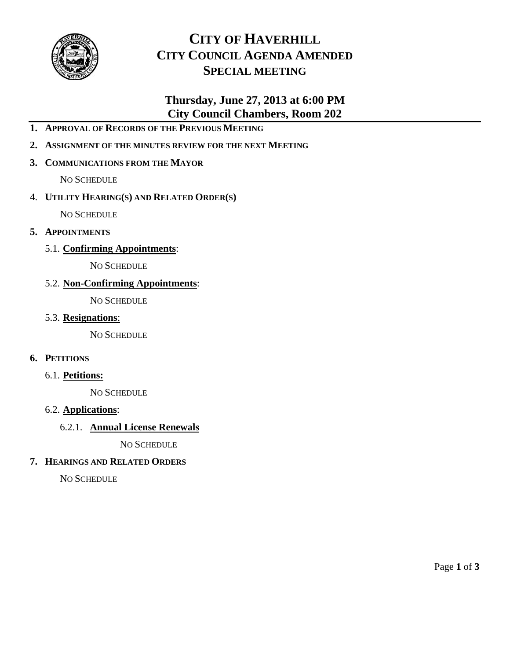

# **CITY OF HAVERHILL CITY COUNCIL AGENDA AMENDED SPECIAL MEETING**

# **Thursday, June 27, 2013 at 6:00 PM City Council Chambers, Room 202**

- **1. APPROVAL OF RECORDS OF THE PREVIOUS MEETING**
- **2. ASSIGNMENT OF THE MINUTES REVIEW FOR THE NEXT MEETING**

# **3. COMMUNICATIONS FROM THE MAYOR**

NO SCHEDULE

# 4. **UTILITY HEARING(S) AND RELATED ORDER(S)**

NO SCHEDULE

- **5. APPOINTMENTS**
	- 5.1. **Confirming Appointments**:

NO SCHEDULE

# 5.2. **Non-Confirming Appointments**:

NO SCHEDULE

5.3. **Resignations**:

NO SCHEDULE

# **6. PETITIONS**

6.1. **Petitions:**

NO SCHEDULE

## 6.2. **Applications**:

# 6.2.1. **Annual License Renewals**

NO SCHEDULE

# **7. HEARINGS AND RELATED ORDERS**

NO SCHEDULE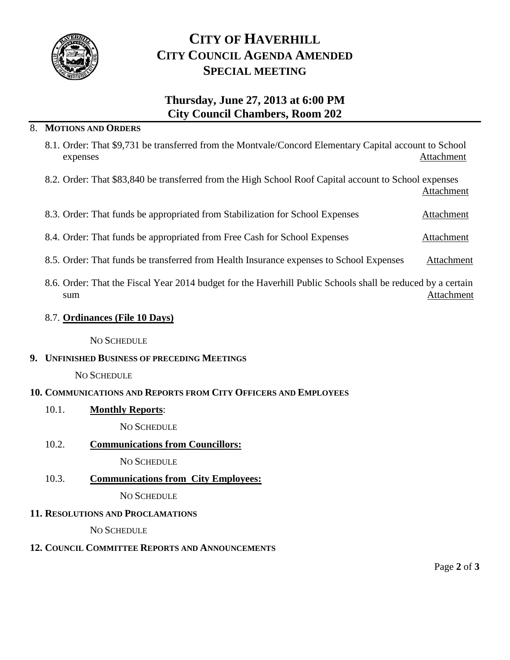

# **CITY OF HAVERHILL CITY COUNCIL AGENDA AMENDED SPECIAL MEETING**

# **Thursday, June 27, 2013 at 6:00 PM City Council Chambers, Room 202**

## 8. **MOTIONS AND ORDERS**

- 8.1. Order: That \$9,731 be transferred from the Montvale/Concord Elementary Capital account to School expenses Attachment
- 8.2. Order: That \$83,840 be transferred from the High School Roof Capital account to School expenses Attachment

| 8.3. Order: That funds be appropriated from Stabilization for School Expenses |  |  |  |  |  |  |  |  | Attachment |
|-------------------------------------------------------------------------------|--|--|--|--|--|--|--|--|------------|
|-------------------------------------------------------------------------------|--|--|--|--|--|--|--|--|------------|

- 8.4. Order: That funds be appropriated from Free Cash for School Expenses Attachment
- 8.5. Order: That funds be transferred from Health Insurance expenses to School Expenses Attachment
- 8.6. Order: That the Fiscal Year 2014 budget for the Haverhill Public Schools shall be reduced by a certain sum and the state of the state of the state of the state of the state of the state of the state of the state of the state of the state of the state of the state of the state of the state of the state of the state of the st

#### 8.7. **Ordinances (File 10 Days)**

#### NO SCHEDULE

#### **9. UNFINISHED BUSINESS OF PRECEDING MEETINGS**

#### NO SCHEDULE

## **10. COMMUNICATIONS AND REPORTS FROM CITY OFFICERS AND EMPLOYEES**

10.1. **Monthly Reports**:

NO SCHEDULE

## 10.2. **Communications from Councillors:**

## NO SCHEDULE

10.3. **Communications from City Employees:**

NO SCHEDULE

## **11. RESOLUTIONS AND PROCLAMATIONS**

NO SCHEDULE

## **12. COUNCIL COMMITTEE REPORTS AND ANNOUNCEMENTS**